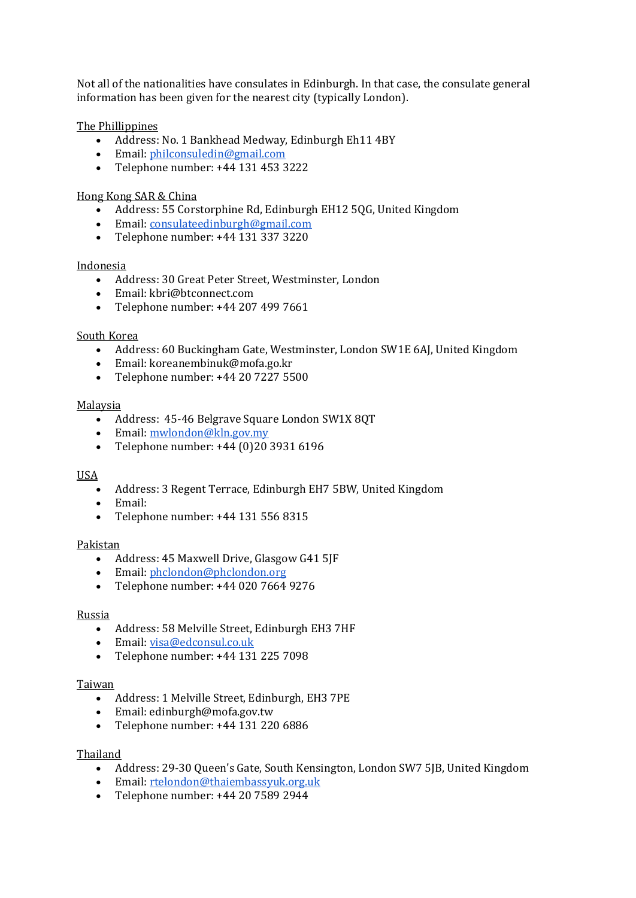Not all of the nationalities have consulates in Edinburgh. In that case, the consulate general information has been given for the nearest city (typically London).

The Phillippines

- Address: No. 1 Bankhead Medway, Edinburgh Eh11 4BY
- Email: [philconsuledin@gmail.com](mailto:philconsuledin@gmail.com)
- Telephone number: +44 131 453 3222

### Hong Kong SAR & China

- Address: 55 Corstorphine Rd, Edinburgh EH12 5QG, United Kingdom
- Email: [consulateedinburgh@gmail.com](mailto:consulateedinburgh@gmail.com)
- Telephone number: +44 131 337 3220

### Indonesia

- Address: 30 Great Peter Street, Westminster, London
- Email: kbri@btconnect.com
- Telephone number: +44 207 499 7661

### South Korea

- Address: 60 Buckingham Gate, Westminster, London SW1E 6AJ, United Kingdom
- Email: koreanembinuk@mofa.go.kr
- Telephone number: +44 20 7227 5500

### Malaysia

- Address: 45-46 Belgrave Square London SW1X 8QT
- Email: [mwlondon@kln.gov.my](mailto:mwlondon@kln.gov.my)
- Telephone number: +44 (0)20 3931 6196

### USA

- Address: 3 Regent Terrace, Edinburgh EH7 5BW, United Kingdom
- Email:
- Telephone number: +44 131 556 8315

### Pakistan

- Address: 45 Maxwell Drive, Glasgow G41 5JF
- Email: [phclondon@phclondon.org](mailto:phclondon@phclondon.org)
- Telephone number: +44 020 7664 9276

### Russia

- Address: 58 Melville Street, Edinburgh EH3 7HF
- Email: [visa@edconsul.co.uk](mailto:visa@edconsul.co.uk)
- Telephone number: +44 131 225 7098

### Taiwan

- Address: 1 Melville Street, Edinburgh, EH3 7PE
- Email: edinburgh@mofa.gov.tw
- Telephone number: +44 131 220 6886

### Thailand

- Address: 29-30 Queen's Gate, South Kensington, London SW7 5JB, United Kingdom
- Email: [rtelondon@thaiembassyuk.org.uk](mailto:rtelondon@thaiembassyuk.org.uk)
- Telephone number: +44 20 7589 2944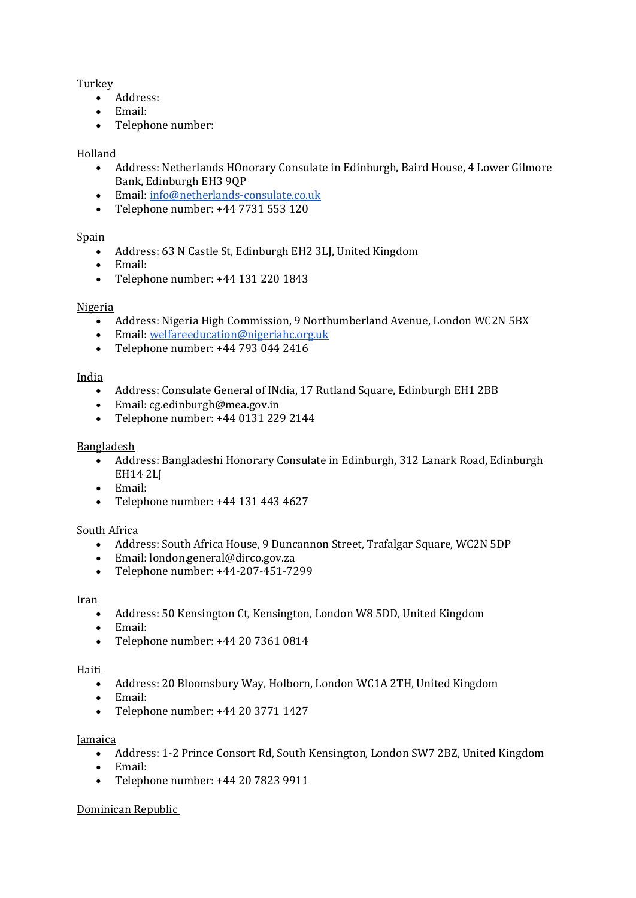# Turkey

- Address:
- Email:
- Telephone number:

# Holland

- Address: Netherlands HOnorary Consulate in Edinburgh, Baird House, 4 Lower Gilmore Bank, Edinburgh EH3 9QP
- Email: [info@netherlands-consulate.co.uk](mailto:info@netherlands-consulate.co.uk)
- Telephone number: +44 7731 553 120

## Spain

- Address: 63 N Castle St, Edinburgh EH2 3LJ, United Kingdom
- Email:
- Telephone number: +44 131 220 1843

## Nigeria

- Address: Nigeria High Commission, 9 Northumberland Avenue, London WC2N 5BX
- Email: [welfareeducation@nigeriahc.org.uk](mailto:welfareeducation@nigeriahc.org.uk)
- Telephone number: +44 793 044 2416

## India

- Address: Consulate General of INdia, 17 Rutland Square, Edinburgh EH1 2BB
- Email: cg.edinburgh@mea.gov.in
- Telephone number: +44 0131 229 2144

## Bangladesh

- Address: Bangladeshi Honorary Consulate in Edinburgh, 312 Lanark Road, Edinburgh EH14 2LJ
- Email:
- Telephone number: +44 131 443 4627

## South Africa

- Address: South Africa House, 9 Duncannon Street, Trafalgar Square, WC2N 5DP
- Email: london.general@dirco.gov.za
- Telephone number: +44-207-451-7299

## Iran

- Address: 50 Kensington Ct, Kensington, London W8 5DD, United Kingdom
- Email:
- Telephone number: +44 20 7361 0814

## Haiti

- Address: 20 Bloomsbury Way, Holborn, London WC1A 2TH, United Kingdom
- Email:
- Telephone number: +44 20 3771 1427

## **Jamaica**

- Address: 1-2 Prince Consort Rd, South Kensington, London SW7 2BZ, United Kingdom
- Email:
- Telephone number: +44 20 7823 9911

## Dominican Republic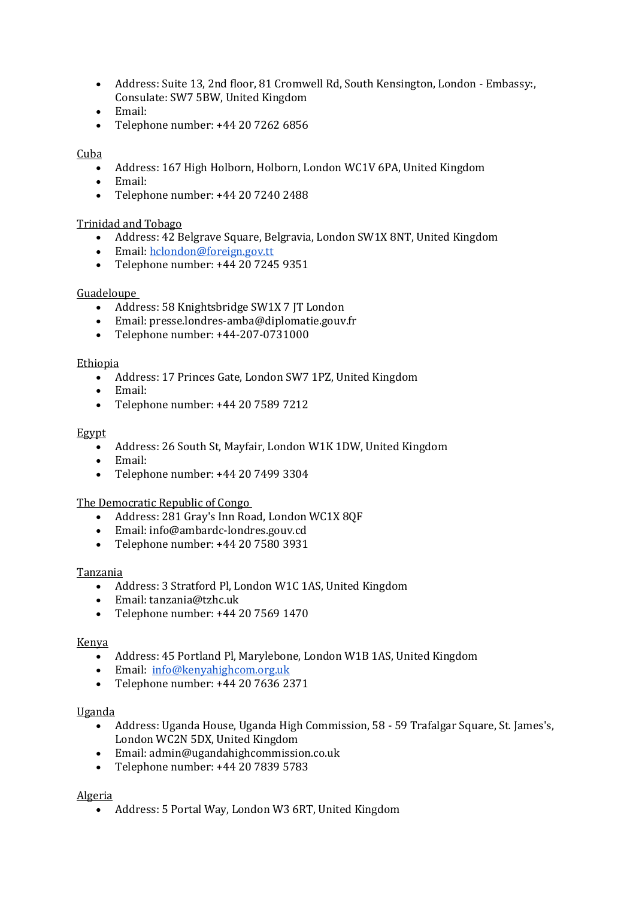- Address: Suite 13, 2nd floor, 81 Cromwell Rd, South Kensington, London Embassy:, Consulate: SW7 5BW, United Kingdom
- Email:
- Telephone number: +44 20 7262 6856

## Cuba

- Address: 167 High Holborn, Holborn, London WC1V 6PA, United Kingdom
- Email:
- Telephone number: +44 20 7240 2488

### Trinidad and Tobago

- Address: 42 Belgrave Square, Belgravia, London SW1X 8NT, United Kingdom
- Email: [hclondon@foreign.gov.tt](mailto:hclondon@foreign.gov.tt)
- Telephone number: +44 20 7245 9351

### Guadeloupe

- Address: 58 Knightsbridge SW1X 7 JT London
- Email: presse.londres-amba@diplomatie.gouv.fr
- Telephone number: +44-207-0731000

### **Ethiopia**

- Address: 17 Princes Gate, London SW7 1PZ, United Kingdom
- Email:
- Telephone number: +44 20 7589 7212

### Egypt

- Address: 26 South St, Mayfair, London W1K 1DW, United Kingdom
- Email:
- Telephone number: +44 20 7499 3304

### The Democratic Republic of Congo

- Address: 281 Gray's Inn Road, London WC1X 8QF
- Email: info@ambardc-londres.gouv.cd
- Telephone number: +44 20 7580 3931

### Tanzania

- Address: 3 Stratford Pl, London W1C 1AS, United Kingdom
- Email: tanzania@tzhc.uk
- Telephone number: +44 20 7569 1470

### Kenya

- Address: 45 Portland Pl, Marylebone, London W1B 1AS, United Kingdom
- Email: [info@kenyahighcom.org.uk](mailto:info@kenyahighcom.org.uk)
- Telephone number: +44 20 7636 2371

### Uganda

- Address: Uganda House, Uganda High Commission, 58 59 Trafalgar Square, St. James's, London WC2N 5DX, United Kingdom
- Email: admin@ugandahighcommission.co.uk
- Telephone number: +44 20 7839 5783

### Algeria

• Address: 5 Portal Way, London W3 6RT, United Kingdom